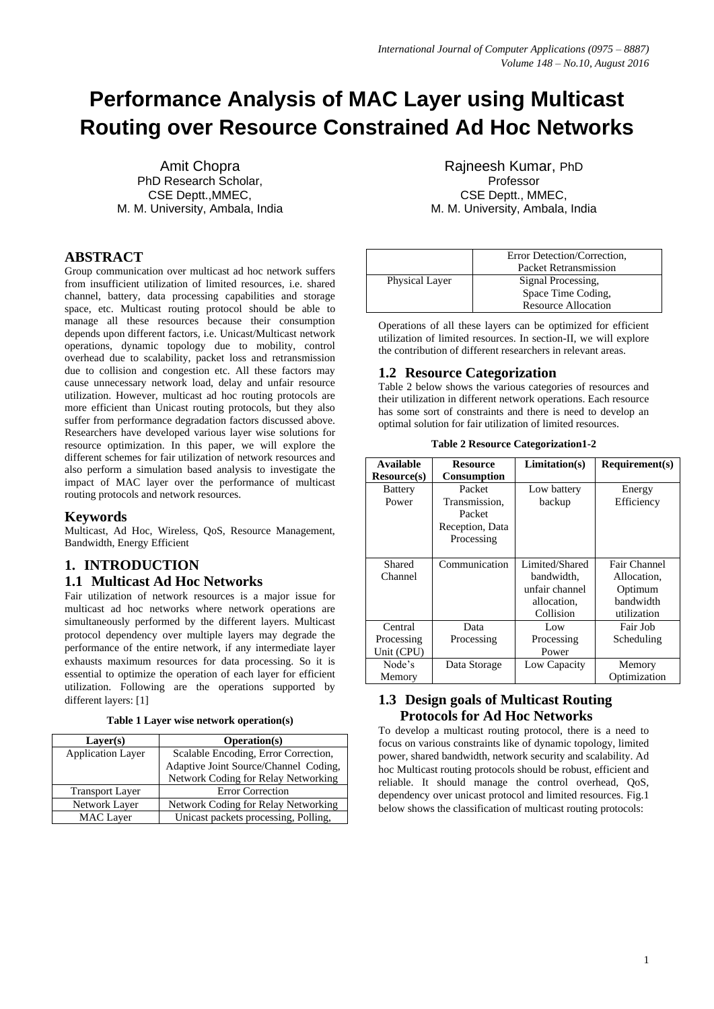# **Performance Analysis of MAC Layer using Multicast Routing over Resource Constrained Ad Hoc Networks**

Amit Chopra PhD Research Scholar, CSE Deptt.,MMEC, M. M. University, Ambala, India

# **ABSTRACT**

Group communication over multicast ad hoc network suffers from insufficient utilization of limited resources, i.e. shared channel, battery, data processing capabilities and storage space, etc. Multicast routing protocol should be able to manage all these resources because their consumption depends upon different factors, i.e. Unicast/Multicast network operations, dynamic topology due to mobility, control overhead due to scalability, packet loss and retransmission due to collision and congestion etc. All these factors may cause unnecessary network load, delay and unfair resource utilization. However, multicast ad hoc routing protocols are more efficient than Unicast routing protocols, but they also suffer from performance degradation factors discussed above. Researchers have developed various layer wise solutions for resource optimization. In this paper, we will explore the different schemes for fair utilization of network resources and also perform a simulation based analysis to investigate the impact of MAC layer over the performance of multicast routing protocols and network resources.

## **Keywords**

Multicast, Ad Hoc, Wireless, QoS, Resource Management, Bandwidth, Energy Efficient

# **1. INTRODUCTION**

### **1.1 Multicast Ad Hoc Networks**

Fair utilization of network resources is a major issue for multicast ad hoc networks where network operations are simultaneously performed by the different layers. Multicast protocol dependency over multiple layers may degrade the performance of the entire network, if any intermediate layer exhausts maximum resources for data processing. So it is essential to optimize the operation of each layer for efficient utilization. Following are the operations supported by different layers: [1]

|  |  |  |  | Table 1 Layer wise network operation(s) |
|--|--|--|--|-----------------------------------------|
|--|--|--|--|-----------------------------------------|

| Layer(s)                 | Operation(s)                          |  |  |
|--------------------------|---------------------------------------|--|--|
| <b>Application Layer</b> | Scalable Encoding, Error Correction,  |  |  |
|                          | Adaptive Joint Source/Channel Coding, |  |  |
|                          | Network Coding for Relay Networking   |  |  |
| <b>Transport Layer</b>   | <b>Error Correction</b>               |  |  |
| Network Layer            | Network Coding for Relay Networking   |  |  |
| <b>MAC</b> Layer         | Unicast packets processing, Polling,  |  |  |

Rajneesh Kumar, PhD Professor CSE Deptt., MMEC, M. M. University, Ambala, India

|                | Error Detection/Correction,<br>Packet Retransmission |  |
|----------------|------------------------------------------------------|--|
| Physical Layer | Signal Processing,                                   |  |
|                | Space Time Coding,                                   |  |
|                | <b>Resource Allocation</b>                           |  |

Operations of all these layers can be optimized for efficient utilization of limited resources. In section-II, we will explore the contribution of different researchers in relevant areas.

### **1.2 Resource Categorization**

Table 2 below shows the various categories of resources and their utilization in different network operations. Each resource has some sort of constraints and there is need to develop an optimal solution for fair utilization of limited resources.

| <b>Available</b><br><b>Resource</b> (s) | <b>Resource</b><br><b>Consumption</b>                              | Limitation(s)                                                              | Required(s)                                                        |
|-----------------------------------------|--------------------------------------------------------------------|----------------------------------------------------------------------------|--------------------------------------------------------------------|
| <b>Battery</b><br>Power                 | Packet<br>Transmission,<br>Packet<br>Reception, Data<br>Processing | Low battery<br>backup                                                      | Energy<br>Efficiency                                               |
| Shared<br>Channel                       | Communication                                                      | Limited/Shared<br>bandwidth.<br>unfair channel<br>allocation.<br>Collision | Fair Channel<br>Allocation.<br>Optimum<br>bandwidth<br>utilization |
| Central<br>Processing<br>Unit (CPU)     | Data<br>Processing                                                 | Low<br>Processing<br>Power                                                 | Fair Job<br>Scheduling                                             |
| Node's<br>Memory                        | Data Storage                                                       | Low Capacity                                                               | Memory<br>Optimization                                             |

**Table 2 Resource Categorization1-2**

# **1.3 Design goals of Multicast Routing Protocols for Ad Hoc Networks**

To develop a multicast routing protocol, there is a need to focus on various constraints like of dynamic topology, limited power, shared bandwidth, network security and scalability. Ad hoc Multicast routing protocols should be robust, efficient and reliable. It should manage the control overhead, QoS, dependency over unicast protocol and limited resources. Fig.1 below shows the classification of multicast routing protocols: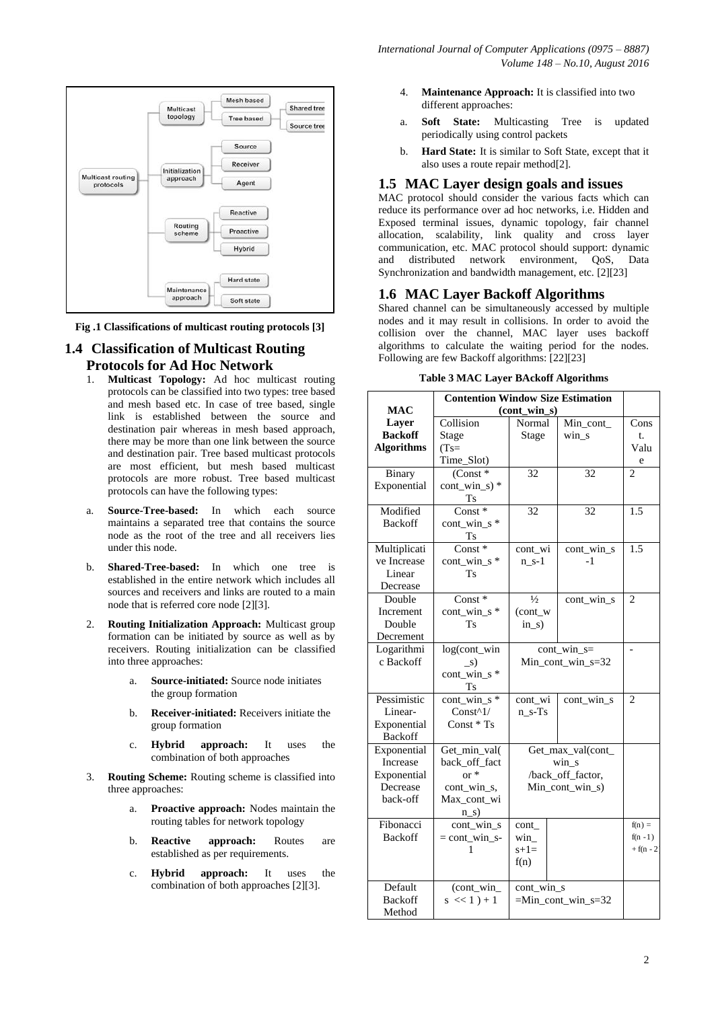

**Fig .1 Classifications of multicast routing protocols [3]**

# **1.4 Classification of Multicast Routing Protocols for Ad Hoc Network**

- 1. **Multicast Topology:** Ad hoc multicast routing protocols can be classified into two types: tree based and mesh based etc. In case of tree based, single link is established between the source and destination pair whereas in mesh based approach, there may be more than one link between the source and destination pair. Tree based multicast protocols are most efficient, but mesh based multicast protocols are more robust. Tree based multicast protocols can have the following types:
- a. **Source-Tree-based:** In which each source maintains a separated tree that contains the source node as the root of the tree and all receivers lies under this node.
- b. **Shared-Tree-based:** In which one tree is established in the entire network which includes all sources and receivers and links are routed to a main node that is referred core node [2][3].
- 2. **Routing Initialization Approach:** Multicast group formation can be initiated by source as well as by receivers. Routing initialization can be classified into three approaches:
	- a. **Source-initiated:** Source node initiates the group formation
	- b. **Receiver-initiated:** Receivers initiate the group formation
	- c. **Hybrid approach:** It uses the combination of both approaches
- 3. **Routing Scheme:** Routing scheme is classified into three approaches:
	- a. **Proactive approach:** Nodes maintain the routing tables for network topology
	- b. **Reactive approach:** Routes are established as per requirements.
	- c. **Hybrid approach:** It uses the combination of both approaches [2][3].
- 4. **Maintenance Approach:** It is classified into two different approaches:
- a. **Soft State:** Multicasting Tree is updated periodically using control packets
- b. **Hard State:** It is similar to Soft State, except that it also uses a route repair method[2].

### **1.5 MAC Layer design goals and issues**

MAC protocol should consider the various facts which can reduce its performance over ad hoc networks, i.e. Hidden and Exposed terminal issues, dynamic topology, fair channel allocation, scalability, link quality and cross layer communication, etc. MAC protocol should support: dynamic and distributed network environment, OoS, Data Synchronization and bandwidth management, etc. [2][23]

### **1.6 MAC Layer Backoff Algorithms**

Shared channel can be simultaneously accessed by multiple nodes and it may result in collisions. In order to avoid the collision over the channel, MAC layer uses backoff algorithms to calculate the waiting period for the nodes. Following are few Backoff algorithms: [22][23]

| <b>Table 3 MAC Layer BAckoff Algorithms</b> |  |  |  |
|---------------------------------------------|--|--|--|
|---------------------------------------------|--|--|--|

| <b>Contention Window Size Estimation</b> |                              |                                            |                   |                |
|------------------------------------------|------------------------------|--------------------------------------------|-------------------|----------------|
| <b>MAC</b>                               | $(cont\_win\_s)$             |                                            |                   |                |
| Layer                                    | Collision                    | Normal                                     | Min_cont_         | Cons           |
| <b>Backoff</b>                           | Stage                        | Stage                                      | win s             | t.             |
| <b>Algorithms</b>                        | $(Ts=$                       |                                            |                   | Valu           |
|                                          | Time_Slot)                   |                                            |                   | e              |
| Binary                                   | $(Const *$                   | 32                                         | 32                | $\overline{c}$ |
| Exponential                              | $cont\_win_s$ *              |                                            |                   |                |
|                                          | <b>Ts</b>                    |                                            |                   |                |
| Modified                                 | $Const*$                     | 32                                         | 32                | 1.5            |
| <b>Backoff</b>                           | $cont\_win\_s$ *             |                                            |                   |                |
|                                          | Ts                           |                                            |                   |                |
| Multiplicati                             | Const*                       | cont_wi                                    | cont_win_s        | 1.5            |
| ve Increase                              | cont win s *                 | $n s-1$                                    | -1                |                |
| Linear                                   | <b>Ts</b>                    |                                            |                   |                |
| Decrease                                 |                              |                                            |                   |                |
| Double                                   | Const*                       | $\frac{1}{2}$                              | cont_win_s        | $\overline{2}$ |
| Increment                                | cont_win_s*                  | (cont_w                                    |                   |                |
| Double                                   | Ts                           | $ins$ )                                    |                   |                |
| Decrement                                |                              |                                            |                   |                |
| Logarithmi<br>c Backoff                  | log(cont_win                 | $cont\_win_s =$<br>$Min\_cont\_win_s = 32$ |                   |                |
|                                          | $\mathbf{s}$                 |                                            |                   |                |
|                                          | cont_win_s*                  |                                            |                   |                |
| Pessimistic                              | Τs<br>$\text{cont\_win\_s*}$ | cont_wi                                    | cont_win_s        | $\overline{c}$ |
| Linear-                                  | Const $\wedge$ 1/            | $n_s-Ts$                                   |                   |                |
| Exponential                              | $Const * Ts$                 |                                            |                   |                |
| <b>Backoff</b>                           |                              |                                            |                   |                |
| Exponential                              | Get_min_val(                 |                                            | Get_max_val(cont_ |                |
| Increase                                 | back_off_fact                |                                            | $win_s$           |                |
| Exponential                              | $or *$                       | /back_off_factor,                          |                   |                |
| Decrease                                 | cont_win_s,                  | Min_cont_win_s)                            |                   |                |
| back-off                                 | Max cont wi                  |                                            |                   |                |
|                                          | $n_s$ )                      |                                            |                   |                |
| Fibonacci                                | cont_win_s                   | cont                                       |                   | $f(n) =$       |
| <b>Backoff</b>                           | $=$ cont_win_s-              | win                                        |                   | $f(n-1)$       |
|                                          | 1                            | $s+1=$                                     |                   | $+ f(n - 2)$   |
|                                          |                              | f(n)                                       |                   |                |
|                                          |                              |                                            |                   |                |
| Default                                  | (cont_win_                   | cont_win_s                                 |                   |                |
| <b>Backoff</b>                           | $s \ll 1$ ) + 1              | $=Min\_cont\_win_s=32$                     |                   |                |
| Method                                   |                              |                                            |                   |                |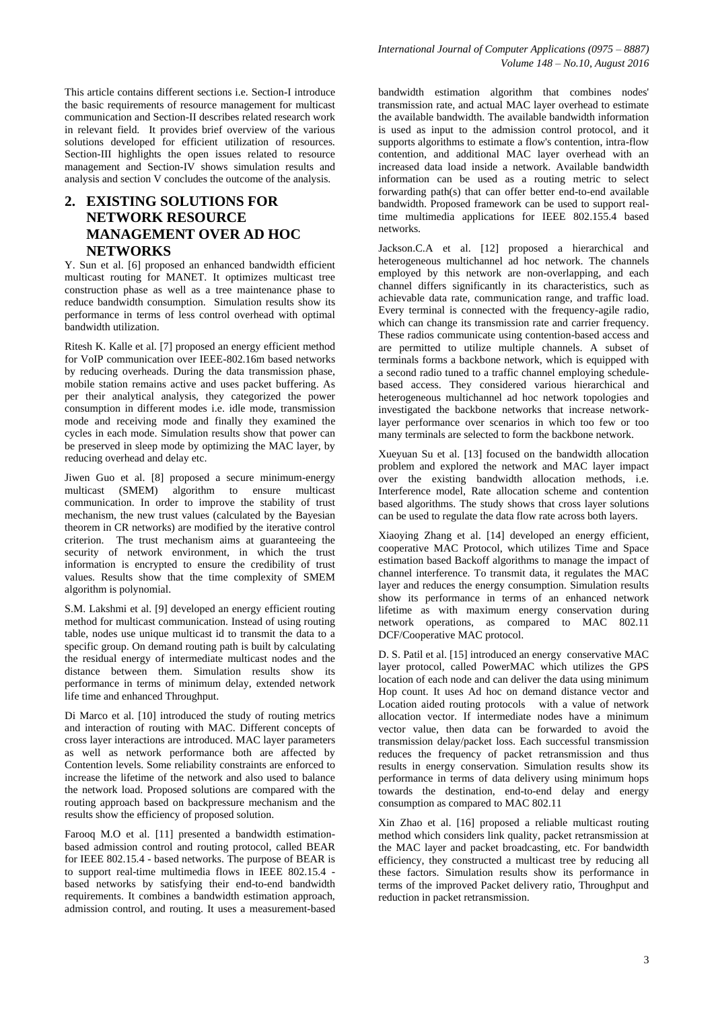This article contains different sections i.e. Section-I introduce the basic requirements of resource management for multicast communication and Section-II describes related research work in relevant field. It provides brief overview of the various solutions developed for efficient utilization of resources. Section-III highlights the open issues related to resource management and Section-IV shows simulation results and analysis and section V concludes the outcome of the analysis.

# **2. EXISTING SOLUTIONS FOR NETWORK RESOURCE MANAGEMENT OVER AD HOC NETWORKS**

Y. Sun et al. [6] proposed an enhanced bandwidth efficient multicast routing for MANET. It optimizes multicast tree construction phase as well as a tree maintenance phase to reduce bandwidth consumption. Simulation results show its performance in terms of less control overhead with optimal bandwidth utilization.

Ritesh K. Kalle et al. [7] proposed an energy efficient method for VoIP communication over IEEE-802.16m based networks by reducing overheads. During the data transmission phase, mobile station remains active and uses packet buffering. As per their analytical analysis, they categorized the power consumption in different modes i.e. idle mode, transmission mode and receiving mode and finally they examined the cycles in each mode. Simulation results show that power can be preserved in sleep mode by optimizing the MAC layer, by reducing overhead and delay etc.

Jiwen Guo et al. [8] proposed a secure minimum-energy multicast (SMEM) algorithm to ensure multicast communication. In order to improve the stability of trust mechanism, the new trust values (calculated by the Bayesian theorem in CR networks) are modified by the iterative control criterion. The trust mechanism aims at guaranteeing the security of network environment, in which the trust information is encrypted to ensure the credibility of trust values. Results show that the time complexity of SMEM algorithm is polynomial.

S.M. Lakshmi et al. [9] developed an energy efficient routing method for multicast communication. Instead of using routing table, nodes use unique multicast id to transmit the data to a specific group. On demand routing path is built by calculating the residual energy of intermediate multicast nodes and the distance between them. Simulation results show its performance in terms of minimum delay, extended network life time and enhanced Throughput.

Di Marco et al. [10] introduced the study of routing metrics and interaction of routing with MAC. Different concepts of cross layer interactions are introduced. MAC layer parameters as well as network performance both are affected by Contention levels. Some reliability constraints are enforced to increase the lifetime of the network and also used to balance the network load. Proposed solutions are compared with the routing approach based on backpressure mechanism and the results show the efficiency of proposed solution.

Farooq M.O et al. [11] presented a bandwidth estimationbased admission control and routing protocol, called BEAR for IEEE 802.15.4 - based networks. The purpose of BEAR is to support real-time multimedia flows in IEEE 802.15.4 based networks by satisfying their end-to-end bandwidth requirements. It combines a bandwidth estimation approach, admission control, and routing. It uses a measurement-based bandwidth estimation algorithm that combines nodes' transmission rate, and actual MAC layer overhead to estimate the available bandwidth. The available bandwidth information is used as input to the admission control protocol, and it supports algorithms to estimate a flow's contention, intra-flow contention, and additional MAC layer overhead with an increased data load inside a network. Available bandwidth information can be used as a routing metric to select forwarding path(s) that can offer better end-to-end available bandwidth. Proposed framework can be used to support realtime multimedia applications for IEEE 802.155.4 based networks.

Jackson.C.A et al. [12] proposed a hierarchical and heterogeneous multichannel ad hoc network. The channels employed by this network are non-overlapping, and each channel differs significantly in its characteristics, such as achievable data rate, communication range, and traffic load. Every terminal is connected with the frequency-agile radio, which can change its transmission rate and carrier frequency. These radios communicate using contention-based access and are permitted to utilize multiple channels. A subset of terminals forms a backbone network, which is equipped with a second radio tuned to a traffic channel employing schedulebased access. They considered various hierarchical and heterogeneous multichannel ad hoc network topologies and investigated the backbone networks that increase networklayer performance over scenarios in which too few or too many terminals are selected to form the backbone network.

Xueyuan Su et al. [13] focused on the bandwidth allocation problem and explored the network and MAC layer impact over the existing bandwidth allocation methods, i.e. Interference model, Rate allocation scheme and contention based algorithms. The study shows that cross layer solutions can be used to regulate the data flow rate across both layers.

Xiaoying Zhang et al. [14] developed an energy efficient, cooperative MAC Protocol, which utilizes Time and Space estimation based Backoff algorithms to manage the impact of channel interference. To transmit data, it regulates the MAC layer and reduces the energy consumption. Simulation results show its performance in terms of an enhanced network lifetime as with maximum energy conservation during network operations, as compared to MAC 802.11 DCF/Cooperative MAC protocol.

D. S. Patil et al. [15] introduced an energy conservative MAC layer protocol, called PowerMAC which utilizes the GPS location of each node and can deliver the data using minimum Hop count. It uses Ad hoc on demand distance vector and Location aided routing protocols with a value of network allocation vector. If intermediate nodes have a minimum vector value, then data can be forwarded to avoid the transmission delay/packet loss. Each successful transmission reduces the frequency of packet retransmission and thus results in energy conservation. Simulation results show its performance in terms of data delivery using minimum hops towards the destination, end-to-end delay and energy consumption as compared to MAC 802.11

Xin Zhao et al. [16] proposed a reliable multicast routing method which considers link quality, packet retransmission at the MAC layer and packet broadcasting, etc. For bandwidth efficiency, they constructed a multicast tree by reducing all these factors. Simulation results show its performance in terms of the improved Packet delivery ratio, Throughput and reduction in packet retransmission.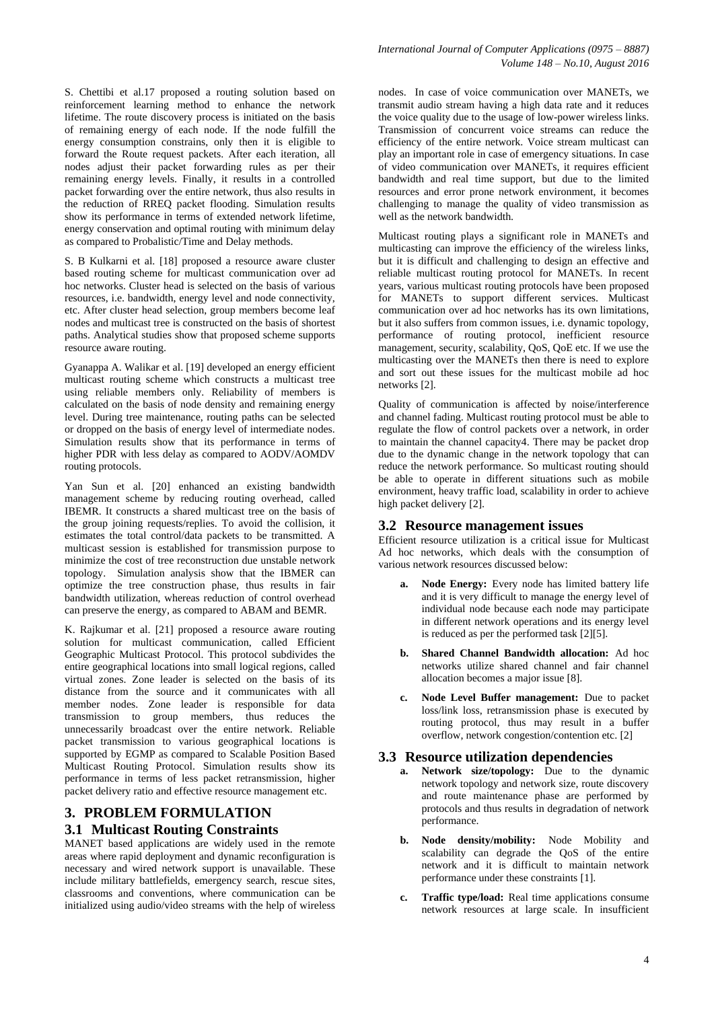S. Chettibi et al.17 proposed a routing solution based on reinforcement learning method to enhance the network lifetime. The route discovery process is initiated on the basis of remaining energy of each node. If the node fulfill the energy consumption constrains, only then it is eligible to forward the Route request packets. After each iteration, all nodes adjust their packet forwarding rules as per their remaining energy levels. Finally, it results in a controlled packet forwarding over the entire network, thus also results in the reduction of RREQ packet flooding. Simulation results show its performance in terms of extended network lifetime, energy conservation and optimal routing with minimum delay as compared to Probalistic/Time and Delay methods.

S. B Kulkarni et al. [18] proposed a resource aware cluster based routing scheme for multicast communication over ad hoc networks. Cluster head is selected on the basis of various resources, i.e. bandwidth, energy level and node connectivity, etc. After cluster head selection, group members become leaf nodes and multicast tree is constructed on the basis of shortest paths. Analytical studies show that proposed scheme supports resource aware routing.

Gyanappa A. Walikar et al. [19] developed an energy efficient multicast routing scheme which constructs a multicast tree using reliable members only. Reliability of members is calculated on the basis of node density and remaining energy level. During tree maintenance, routing paths can be selected or dropped on the basis of energy level of intermediate nodes. Simulation results show that its performance in terms of higher PDR with less delay as compared to AODV/AOMDV routing protocols.

Yan Sun et al. [20] enhanced an existing bandwidth management scheme by reducing routing overhead, called IBEMR. It constructs a shared multicast tree on the basis of the group joining requests/replies. To avoid the collision, it estimates the total control/data packets to be transmitted. A multicast session is established for transmission purpose to minimize the cost of tree reconstruction due unstable network topology. Simulation analysis show that the IBMER can optimize the tree construction phase, thus results in fair bandwidth utilization, whereas reduction of control overhead can preserve the energy, as compared to ABAM and BEMR.

K. Rajkumar et al. [21] proposed a resource aware routing solution for multicast communication, called Efficient Geographic Multicast Protocol. This protocol subdivides the entire geographical locations into small logical regions, called virtual zones. Zone leader is selected on the basis of its distance from the source and it communicates with all member nodes. Zone leader is responsible for data transmission to group members, thus reduces the unnecessarily broadcast over the entire network. Reliable packet transmission to various geographical locations is supported by EGMP as compared to Scalable Position Based Multicast Routing Protocol. Simulation results show its performance in terms of less packet retransmission, higher packet delivery ratio and effective resource management etc.

# **3. PROBLEM FORMULATION 3.1 Multicast Routing Constraints**

MANET based applications are widely used in the remote areas where rapid deployment and dynamic reconfiguration is necessary and wired network support is unavailable. These include military battlefields, emergency search, rescue sites, classrooms and conventions, where communication can be initialized using audio/video streams with the help of wireless nodes. In case of voice communication over MANETs, we transmit audio stream having a high data rate and it reduces the voice quality due to the usage of low-power wireless links. Transmission of concurrent voice streams can reduce the efficiency of the entire network. Voice stream multicast can play an important role in case of emergency situations. In case of video communication over MANETs, it requires efficient bandwidth and real time support, but due to the limited resources and error prone network environment, it becomes challenging to manage the quality of video transmission as well as the network bandwidth.

Multicast routing plays a significant role in MANETs and multicasting can improve the efficiency of the wireless links, but it is difficult and challenging to design an effective and reliable multicast routing protocol for MANETs. In recent years, various multicast routing protocols have been proposed for MANETs to support different services. Multicast communication over ad hoc networks has its own limitations, but it also suffers from common issues, i.e. dynamic topology, performance of routing protocol, inefficient resource management, security, scalability, QoS, QoE etc. If we use the multicasting over the MANETs then there is need to explore and sort out these issues for the multicast mobile ad hoc networks [2].

Quality of communication is affected by noise/interference and channel fading. Multicast routing protocol must be able to regulate the flow of control packets over a network, in order to maintain the channel capacity4. There may be packet drop due to the dynamic change in the network topology that can reduce the network performance. So multicast routing should be able to operate in different situations such as mobile environment, heavy traffic load, scalability in order to achieve high packet delivery [2].

### **3.2 Resource management issues**

Efficient resource utilization is a critical issue for Multicast Ad hoc networks, which deals with the consumption of various network resources discussed below:

- **a. Node Energy:** Every node has limited battery life and it is very difficult to manage the energy level of individual node because each node may participate in different network operations and its energy level is reduced as per the performed task [2][5].
- **b. Shared Channel Bandwidth allocation:** Ad hoc networks utilize shared channel and fair channel allocation becomes a major issue [8].
- **c. Node Level Buffer management:** Due to packet loss/link loss, retransmission phase is executed by routing protocol, thus may result in a buffer overflow, network congestion/contention etc. [2]

### **3.3 Resource utilization dependencies**

- **a. Network size/topology:** Due to the dynamic network topology and network size, route discovery and route maintenance phase are performed by protocols and thus results in degradation of network performance.
- **b. Node density/mobility:** Node Mobility and scalability can degrade the QoS of the entire network and it is difficult to maintain network performance under these constraints [1].
- **c. Traffic type/load:** Real time applications consume network resources at large scale. In insufficient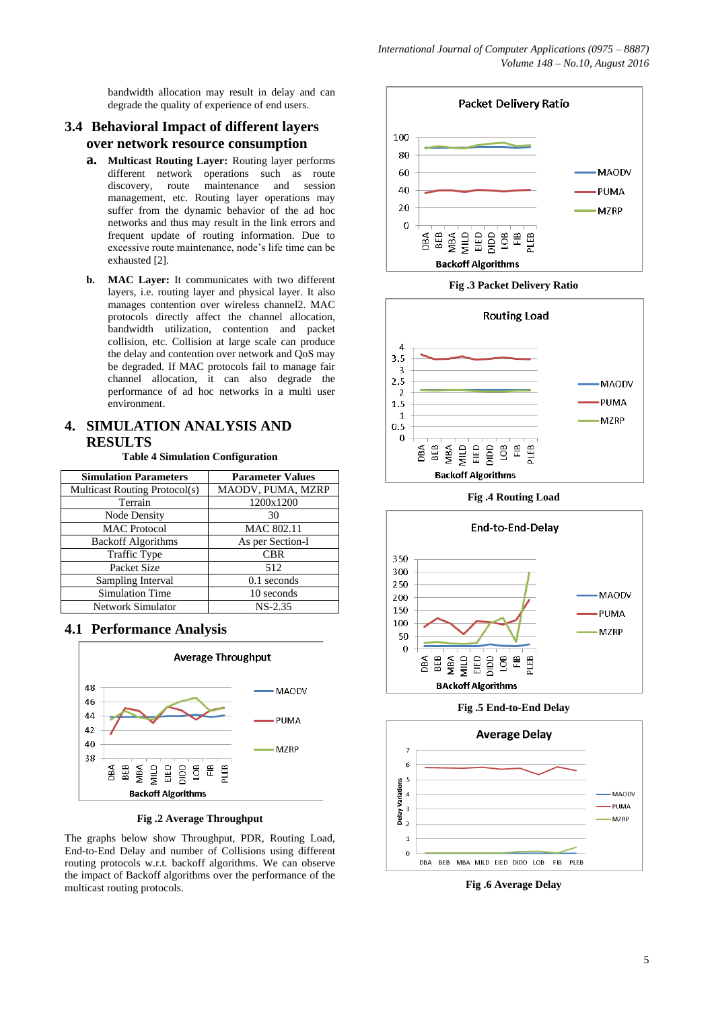bandwidth allocation may result in delay and can degrade the quality of experience of end users.

# **3.4 Behavioral Impact of different layers over network resource consumption**

- **a. Multicast Routing Layer:** Routing layer performs different network operations such as route discovery, route maintenance and session management, etc. Routing layer operations may suffer from the dynamic behavior of the ad hoc networks and thus may result in the link errors and frequent update of routing information. Due to excessive route maintenance, node's life time can be exhausted [2].
- **b. MAC Layer:** It communicates with two different layers, i.e. routing layer and physical layer. It also manages contention over wireless channel2. MAC protocols directly affect the channel allocation, bandwidth utilization, contention and packet collision, etc. Collision at large scale can produce the delay and contention over network and QoS may be degraded. If MAC protocols fail to manage fair channel allocation, it can also degrade the performance of ad hoc networks in a multi user environment.

# **4. SIMULATION ANALYSIS AND RESULTS**

**Table 4 Simulation Configuration**

| <b>Simulation Parameters</b>  | <b>Parameter Values</b> |  |
|-------------------------------|-------------------------|--|
| Multicast Routing Protocol(s) | MAODV, PUMA, MZRP       |  |
| Terrain                       | 1200x1200               |  |
| <b>Node Density</b>           | 30                      |  |
| <b>MAC</b> Protocol           | MAC 802.11              |  |
| <b>Backoff Algorithms</b>     | As per Section-I        |  |
| <b>Traffic Type</b>           | <b>CBR</b>              |  |
| Packet Size                   | 512                     |  |
| Sampling Interval             | $0.1$ seconds           |  |
| Simulation Time               | 10 seconds              |  |
| Network Simulator             | $NS-2.35$               |  |

## **4.1 Performance Analysis**



**Fig .2 Average Throughput**

The graphs below show Throughput, PDR, Routing Load, End-to-End Delay and number of Collisions using different routing protocols w.r.t. backoff algorithms. We can observe the impact of Backoff algorithms over the performance of the multicast routing protocols.



### **Fig .3 Packet Delivery Ratio**



**Fig .4 Routing Load**



**Fig .5 End-to-End Delay**



**Fig .6 Average Delay**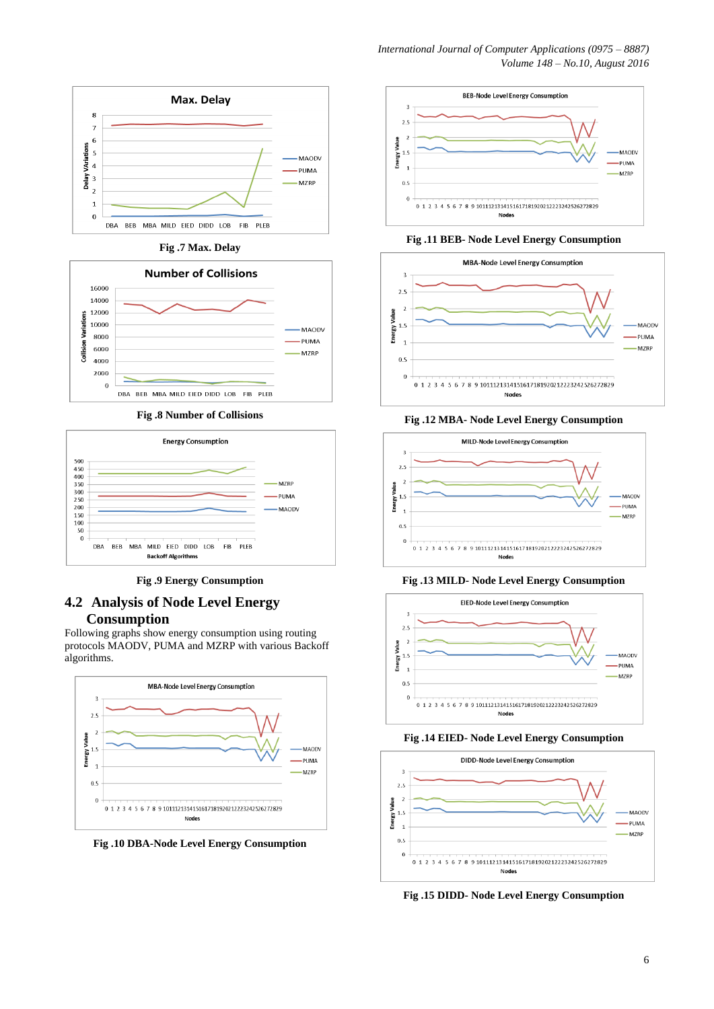

**Fig .7 Max. Delay**



**Fig .8 Number of Collisions**



**Fig .9 Energy Consumption**

# **4.2 Analysis of Node Level Energy Consumption**

Following graphs show energy consumption using routing protocols MAODV, PUMA and MZRP with various Backoff algorithms.



**Fig .10 DBA-Node Level Energy Consumption**



### **Fig .11 BEB- Node Level Energy Consumption**



### **Fig .12 MBA- Node Level Energy Consumption**



### **Fig .13 MILD- Node Level Energy Consumption**



### **Fig .14 EIED- Node Level Energy Consumption**



**Fig .15 DIDD- Node Level Energy Consumption**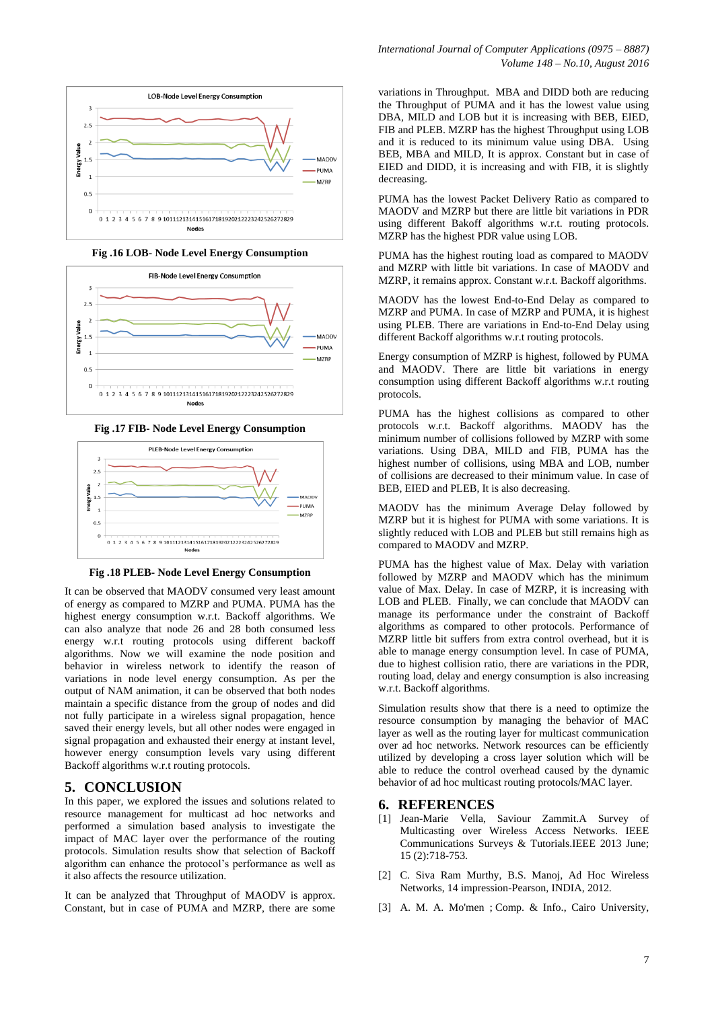

### **Fig .16 LOB- Node Level Energy Consumption**



### **Fig .17 FIB- Node Level Energy Consumption**



### **Fig .18 PLEB- Node Level Energy Consumption**

It can be observed that MAODV consumed very least amount of energy as compared to MZRP and PUMA. PUMA has the highest energy consumption w.r.t. Backoff algorithms. We can also analyze that node 26 and 28 both consumed less energy w.r.t routing protocols using different backoff algorithms. Now we will examine the node position and behavior in wireless network to identify the reason of variations in node level energy consumption. As per the output of NAM animation, it can be observed that both nodes maintain a specific distance from the group of nodes and did not fully participate in a wireless signal propagation, hence saved their energy levels, but all other nodes were engaged in signal propagation and exhausted their energy at instant level, however energy consumption levels vary using different Backoff algorithms w.r.t routing protocols.

### **5. CONCLUSION**

In this paper, we explored the issues and solutions related to resource management for multicast ad hoc networks and performed a simulation based analysis to investigate the impact of MAC layer over the performance of the routing protocols. Simulation results show that selection of Backoff algorithm can enhance the protocol's performance as well as it also affects the resource utilization.

It can be analyzed that Throughput of MAODV is approx. Constant, but in case of PUMA and MZRP, there are some variations in Throughput. MBA and DIDD both are reducing the Throughput of PUMA and it has the lowest value using DBA, MILD and LOB but it is increasing with BEB, EIED, FIB and PLEB. MZRP has the highest Throughput using LOB and it is reduced to its minimum value using DBA. Using BEB, MBA and MILD, It is approx. Constant but in case of EIED and DIDD, it is increasing and with FIB, it is slightly decreasing.

PUMA has the lowest Packet Delivery Ratio as compared to MAODV and MZRP but there are little bit variations in PDR using different Bakoff algorithms w.r.t. routing protocols. MZRP has the highest PDR value using LOB.

PUMA has the highest routing load as compared to MAODV and MZRP with little bit variations. In case of MAODV and MZRP, it remains approx. Constant w.r.t. Backoff algorithms.

MAODV has the lowest End-to-End Delay as compared to MZRP and PUMA. In case of MZRP and PUMA, it is highest using PLEB. There are variations in End-to-End Delay using different Backoff algorithms w.r.t routing protocols.

Energy consumption of MZRP is highest, followed by PUMA and MAODV. There are little bit variations in energy consumption using different Backoff algorithms w.r.t routing protocols.

PUMA has the highest collisions as compared to other protocols w.r.t. Backoff algorithms. MAODV has the minimum number of collisions followed by MZRP with some variations. Using DBA, MILD and FIB, PUMA has the highest number of collisions, using MBA and LOB, number of collisions are decreased to their minimum value. In case of BEB, EIED and PLEB, It is also decreasing.

MAODV has the minimum Average Delay followed by MZRP but it is highest for PUMA with some variations. It is slightly reduced with LOB and PLEB but still remains high as compared to MAODV and MZRP.

PUMA has the highest value of Max. Delay with variation followed by MZRP and MAODV which has the minimum value of Max. Delay. In case of MZRP, it is increasing with LOB and PLEB. Finally, we can conclude that MAODV can manage its performance under the constraint of Backoff algorithms as compared to other protocols. Performance of MZRP little bit suffers from extra control overhead, but it is able to manage energy consumption level. In case of PUMA, due to highest collision ratio, there are variations in the PDR, routing load, delay and energy consumption is also increasing w.r.t. Backoff algorithms.

Simulation results show that there is a need to optimize the resource consumption by managing the behavior of MAC layer as well as the routing layer for multicast communication over ad hoc networks. Network resources can be efficiently utilized by developing a cross layer solution which will be able to reduce the control overhead caused by the dynamic behavior of ad hoc multicast routing protocols/MAC layer.

### **6. REFERENCES**

- [1] Jean-Marie Vella, Saviour Zammit.A Survey of Multicasting over Wireless Access Networks. IEEE Communications Surveys & Tutorials.IEEE 2013 June; 15 (2):718-753.
- [2] C. Siva Ram Murthy, B.S. Manoj, Ad Hoc Wireless Networks, 14 impression-Pearson, INDIA, 2012.
- [3] [A. M. A. Mo'men](http://ieeexplore.ieee.org/search/searchresult.jsp?searchWithin=%22Authors%22:.QT.A.%20M.%20A.%20Mo%27men.QT.&newsearch=true) ; Comp. & Info., Cairo University,